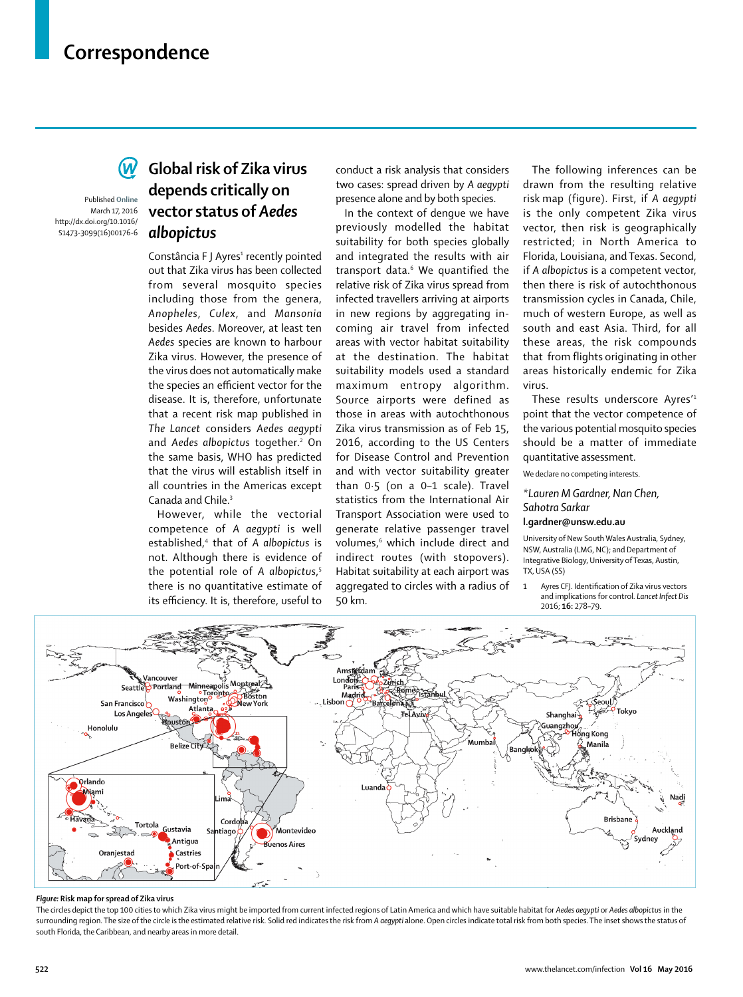# **Correspondence**

Published **Online** March 17, 2016 http://dx.doi.org/10.1016/

S1473-3099(16)00176-6

### **Global risk of Zika virus depends critically on vector status of** *Aedes albopictus*

Constância F J Ayres<del>'</del> recently pointed out that Zika virus has been collected from several mosquito species including those from the genera, *Anopheles*, *Culex*, and *Mansonia* besides *Aedes*. Moreover, at least ten *Aedes* species are known to harbour Zika virus. However, the presence of the virus does not automatically make the species an efficient vector for the disease. It is, therefore, unfortunate that a recent risk map published in *The Lancet* considers *Aedes aegypti* and *Aedes albopictus* together.<sup>2</sup> On the same basis, WHO has predicted that the virus will establish itself in all countries in the Americas except Canada and Chile.3

However, while the vectorial com petence of *A aegypti* is well established,4 that of *A albopictus* is not. Although there is evidence of the potential role of *A albopictus*, 5 there is no quantitative estimate of its efficiency. It is, therefore, useful to

conduct a risk analysis that considers two cases: spread driven by *A aegypti* presence alone and by both species.

In the context of dengue we have previously modelled the habitat suitability for both species globally and integrated the results with air transport data.<sup>6</sup> We quantified the relative risk of Zika virus spread from infected travellers arriving at airports in new regions by aggregating incoming air travel from infected areas with vector habitat suitability at the destination. The habitat suitability models used a standard maximum entropy algorithm. Source airports were defined as those in areas with autochthonous Zika virus transmission as of Feb 15, 2016, according to the US Centers for Disease Control and Prevention and with vector suitability greater than 0·5 (on a 0–1 scale). Travel statistics from the International Air Transport Association were used to generate relative passenger travel volumes,6 which include direct and indirect routes (with stopovers). Habitat suitability at each airport was aggregated to circles with a radius of 50 km.

The following inferences can be drawn from the resulting relative risk map (figure). First, if *A aegypti* is the only competent Zika virus vector, then risk is geographically restricted; in North America to Florida, Louisiana, and Texas. Second, if *A albopictus* is a competent vector, then there is risk of autochthonous transmission cycles in Canada, Chile, much of western Europe, as well as south and east Asia. Third, for all these areas, the risk compounds that from flights originating in other areas historically endemic for Zika virus.

These results underscore Ayres'1 point that the vector competence of the various potential mosquito species should be a matter of immediate quantitative assessment.

We declare no competing interests.

*\*Lauren M Gardner, Nan Chen, Sahotra Sarkar*

### **l.gardner@unsw.edu.au**

University of New South Wales Australia, Sydney, NSW, Australia (LMG, NC); and Department of Integrative Biology, University of Texas, Austin, TX, USA (SS)

1 Avres CFI. Identification of Zika virus vectors and implications for control. *Lancet Infect Dis* 2016; **16:** 278–79.



#### *Figure:* **Risk map for spread of Zika virus**

The circles depict the top 100 cities to which Zika virus might be imported from current infected regions of Latin America and which have suitable habitat for *Aedes aegypti* or *Aedes albopictus* in the surrounding region. The size of the circle is the estimated relative risk. Solid red indicates the risk from *A aegypti* alone. Open circles indicate total risk from both species. The inset shows the status of south Florida, the Caribbean, and nearby areas in more detail.